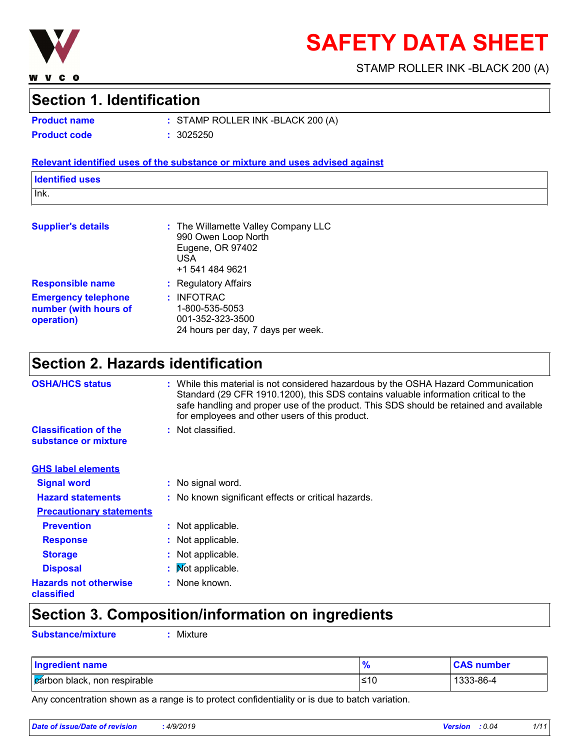

# **SAFETY DATA SHEET**

STAMP ROLLER INK -BLACK 200 (A)

### **Section 1. Identification**

**Product name**

STAMP ROLLER INK -BLACK 200 (A) **: Product code :** 3025250

#### **Relevant identified uses of the substance or mixture and uses advised against**

| <b>Identified uses</b> |  |
|------------------------|--|
| Ink.                   |  |
|                        |  |

| <b>Supplier's details</b>                                         | : The Willamette Valley Company LLC<br>990 Owen Loop North<br>Eugene, OR 97402<br>USA<br>+1 541 484 9621 |
|-------------------------------------------------------------------|----------------------------------------------------------------------------------------------------------|
| <b>Responsible name</b>                                           | : Regulatory Affairs                                                                                     |
| <b>Emergency telephone</b><br>number (with hours of<br>operation) | : INFOTRAC<br>1-800-535-5053<br>001-352-323-3500<br>24 hours per day, 7 days per week.                   |

## **Section 2. Hazards identification**

| <b>OSHA/HCS status</b>                               | : While this material is not considered hazardous by the OSHA Hazard Communication<br>Standard (29 CFR 1910.1200), this SDS contains valuable information critical to the<br>safe handling and proper use of the product. This SDS should be retained and available<br>for employees and other users of this product. |  |
|------------------------------------------------------|-----------------------------------------------------------------------------------------------------------------------------------------------------------------------------------------------------------------------------------------------------------------------------------------------------------------------|--|
| <b>Classification of the</b><br>substance or mixture | : Not classified.                                                                                                                                                                                                                                                                                                     |  |
| <b>GHS label elements</b>                            |                                                                                                                                                                                                                                                                                                                       |  |
| <b>Signal word</b>                                   | : No signal word.                                                                                                                                                                                                                                                                                                     |  |
| <b>Hazard statements</b>                             | : No known significant effects or critical hazards.                                                                                                                                                                                                                                                                   |  |
| <b>Precautionary statements</b>                      |                                                                                                                                                                                                                                                                                                                       |  |
| <b>Prevention</b>                                    | : Not applicable.                                                                                                                                                                                                                                                                                                     |  |
| <b>Response</b>                                      | : Not applicable.                                                                                                                                                                                                                                                                                                     |  |
| <b>Storage</b>                                       | : Not applicable.                                                                                                                                                                                                                                                                                                     |  |
| <b>Disposal</b>                                      | : Mot applicable.                                                                                                                                                                                                                                                                                                     |  |
| <b>Hazards not otherwise</b><br>classified           | : None known.                                                                                                                                                                                                                                                                                                         |  |

# **Section 3. Composition/information on ingredients**

**Substance/mixture :** Mixture

| <b>Ingredient name</b>               | $\bullet$<br>70 | <b>CAS number</b> |
|--------------------------------------|-----------------|-------------------|
| <b>Z</b> árbon black, non respirable | ≤10             | 1333-86-4         |

Any concentration shown as a range is to protect confidentiality or is due to batch variation.

| Date of issue/Date of revision | 4/9/2019 | <b>Version</b> | : 0.04 | 1/11 |
|--------------------------------|----------|----------------|--------|------|
|                                |          |                |        |      |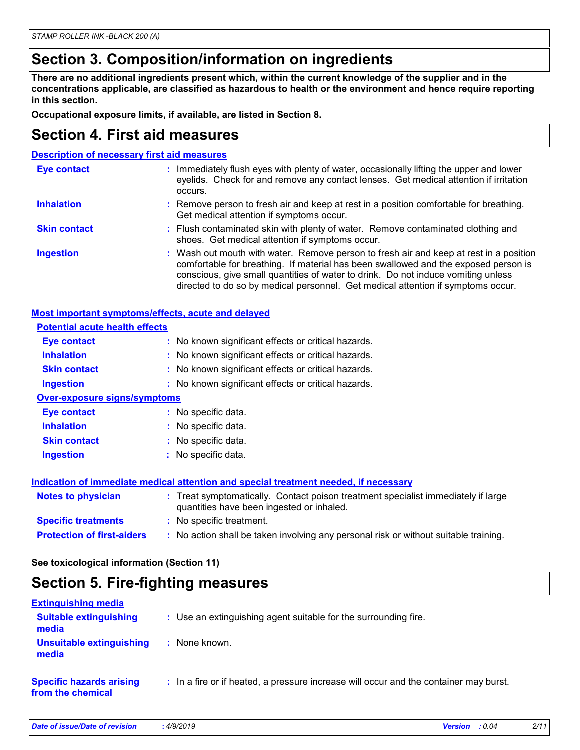### **Section 3. Composition/information on ingredients**

**There are no additional ingredients present which, within the current knowledge of the supplier and in the concentrations applicable, are classified as hazardous to health or the environment and hence require reporting in this section.**

**Occupational exposure limits, if available, are listed in Section 8.**

### **Section 4. First aid measures**

| <b>Description of necessary first aid measures</b>                                                                                                                                                                                                                                                                                                     |
|--------------------------------------------------------------------------------------------------------------------------------------------------------------------------------------------------------------------------------------------------------------------------------------------------------------------------------------------------------|
| Immediately flush eyes with plenty of water, occasionally lifting the upper and lower<br>÷.<br>eyelids. Check for and remove any contact lenses. Get medical attention if irritation<br>occurs.                                                                                                                                                        |
| : Remove person to fresh air and keep at rest in a position comfortable for breathing.<br>Get medical attention if symptoms occur.                                                                                                                                                                                                                     |
| : Flush contaminated skin with plenty of water. Remove contaminated clothing and<br>shoes. Get medical attention if symptoms occur.                                                                                                                                                                                                                    |
| : Wash out mouth with water. Remove person to fresh air and keep at rest in a position<br>comfortable for breathing. If material has been swallowed and the exposed person is<br>conscious, give small quantities of water to drink. Do not induce vomiting unless<br>directed to do so by medical personnel. Get medical attention if symptoms occur. |
|                                                                                                                                                                                                                                                                                                                                                        |

| <b>Potential acute health effects</b> |                                                                                                                                |  |
|---------------------------------------|--------------------------------------------------------------------------------------------------------------------------------|--|
| <b>Eye contact</b>                    | : No known significant effects or critical hazards.                                                                            |  |
| <b>Inhalation</b>                     | : No known significant effects or critical hazards.                                                                            |  |
| <b>Skin contact</b>                   | : No known significant effects or critical hazards.                                                                            |  |
| <b>Ingestion</b>                      | : No known significant effects or critical hazards.                                                                            |  |
| <b>Over-exposure signs/symptoms</b>   |                                                                                                                                |  |
| Eye contact                           | : No specific data.                                                                                                            |  |
| <b>Inhalation</b>                     | : No specific data.                                                                                                            |  |
| <b>Skin contact</b>                   | : No specific data.                                                                                                            |  |
| <b>Ingestion</b>                      | : No specific data.                                                                                                            |  |
|                                       | Indication of immediate medical attention and special treatment needed, if necessary                                           |  |
| <b>Notes to physician</b>             | : Treat symptomatically. Contact poison treatment specialist immediately if large<br>quantities have been ingested or inhaled. |  |
| <b>Specific treatments</b>            | : No specific treatment.                                                                                                       |  |
| <b>Protection of first-aiders</b>     | : No action shall be taken involving any personal risk or without suitable training.                                           |  |

**See toxicological information (Section 11)**

### **Section 5. Fire-fighting measures**

| <b>Extinguishing media</b>                           |                                                                                       |
|------------------------------------------------------|---------------------------------------------------------------------------------------|
| <b>Suitable extinguishing</b><br>media               | : Use an extinguishing agent suitable for the surrounding fire.                       |
| Unsuitable extinguishing<br>media                    | : None known.                                                                         |
| <b>Specific hazards arising</b><br>from the chemical | : In a fire or if heated, a pressure increase will occur and the container may burst. |

| <b>Date</b><br><u>avision</u><br> | .4/9/2019 | $\mathbf{A}$ | 0.04 . | 2/11 |
|-----------------------------------|-----------|--------------|--------|------|
|                                   |           |              |        |      |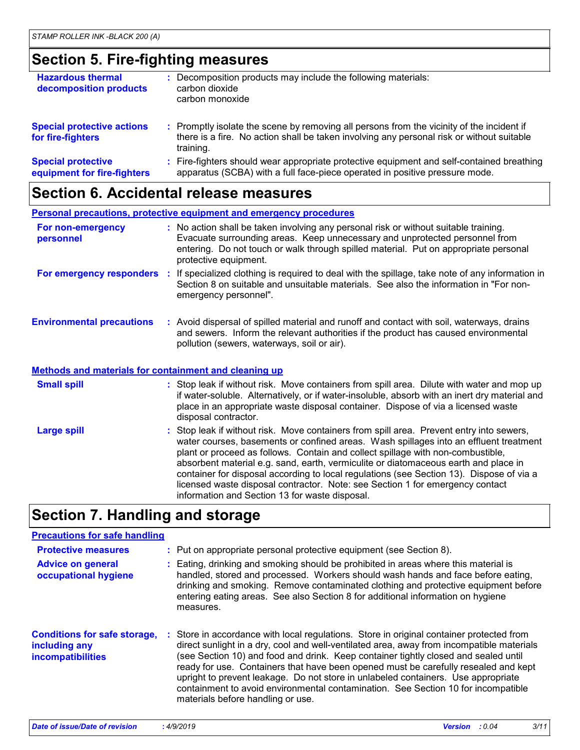### **Section 5. Fire-fighting measures**

| <b>Hazardous thermal</b><br>decomposition products       | Decomposition products may include the following materials:<br>carbon dioxide<br>carbon monoxide                                                                                                    |
|----------------------------------------------------------|-----------------------------------------------------------------------------------------------------------------------------------------------------------------------------------------------------|
| <b>Special protective actions</b><br>for fire-fighters   | : Promptly isolate the scene by removing all persons from the vicinity of the incident if<br>there is a fire. No action shall be taken involving any personal risk or without suitable<br>training. |
| <b>Special protective</b><br>equipment for fire-fighters | : Fire-fighters should wear appropriate protective equipment and self-contained breathing<br>apparatus (SCBA) with a full face-piece operated in positive pressure mode.                            |

### **Section 6. Accidental release measures**

|                                                              | <b>Personal precautions, protective equipment and emergency procedures</b>                                                                                                                                                                                                                               |
|--------------------------------------------------------------|----------------------------------------------------------------------------------------------------------------------------------------------------------------------------------------------------------------------------------------------------------------------------------------------------------|
| For non-emergency<br>personnel                               | : No action shall be taken involving any personal risk or without suitable training.<br>Evacuate surrounding areas. Keep unnecessary and unprotected personnel from<br>entering. Do not touch or walk through spilled material. Put on appropriate personal<br>protective equipment.                     |
| For emergency responders                                     | : If specialized clothing is required to deal with the spillage, take note of any information in<br>Section 8 on suitable and unsuitable materials. See also the information in "For non-<br>emergency personnel".                                                                                       |
| <b>Environmental precautions</b>                             | : Avoid dispersal of spilled material and runoff and contact with soil, waterways, drains<br>and sewers. Inform the relevant authorities if the product has caused environmental<br>pollution (sewers, waterways, soil or air).                                                                          |
| <b>Methods and materials for containment and cleaning up</b> |                                                                                                                                                                                                                                                                                                          |
| <b>Small spill</b>                                           | : Stop leak if without risk. Move containers from spill area. Dilute with water and mop up<br>if water-soluble. Alternatively, or if water-insoluble, absorb with an inert dry material and<br>place in an appropriate waste disposal container. Dispose of via a licensed waste<br>disposal contractor. |
| <b>Largo enill</b>                                           | • Stop leak if without rick Move containers from spill area. Drevent entry into sewers                                                                                                                                                                                                                   |

Stop leak if without risk. Move containers from spill area. Prevent entry into sewers, water courses, basements or confined areas. Wash spillages into an effluent treatment plant or proceed as follows. Contain and collect spillage with non-combustible, absorbent material e.g. sand, earth, vermiculite or diatomaceous earth and place in container for disposal according to local regulations (see Section 13). Dispose of via a licensed waste disposal contractor. Note: see Section 1 for emergency contact information and Section 13 for waste disposal. **Large spill :**

# **Section 7. Handling and storage**

#### **Precautions for safe handling**

| <b>Protective measures</b>                                                       | : Put on appropriate personal protective equipment (see Section 8).                                                                                                                                                                                                                                                                                                                                                                                                                                                                                                                |
|----------------------------------------------------------------------------------|------------------------------------------------------------------------------------------------------------------------------------------------------------------------------------------------------------------------------------------------------------------------------------------------------------------------------------------------------------------------------------------------------------------------------------------------------------------------------------------------------------------------------------------------------------------------------------|
| <b>Advice on general</b><br>occupational hygiene                                 | : Eating, drinking and smoking should be prohibited in areas where this material is<br>handled, stored and processed. Workers should wash hands and face before eating,<br>drinking and smoking. Remove contaminated clothing and protective equipment before<br>entering eating areas. See also Section 8 for additional information on hygiene<br>measures.                                                                                                                                                                                                                      |
| <b>Conditions for safe storage,</b><br>including any<br><b>incompatibilities</b> | : Store in accordance with local regulations. Store in original container protected from<br>direct sunlight in a dry, cool and well-ventilated area, away from incompatible materials<br>(see Section 10) and food and drink. Keep container tightly closed and sealed until<br>ready for use. Containers that have been opened must be carefully resealed and kept<br>upright to prevent leakage. Do not store in unlabeled containers. Use appropriate<br>containment to avoid environmental contamination. See Section 10 for incompatible<br>materials before handling or use. |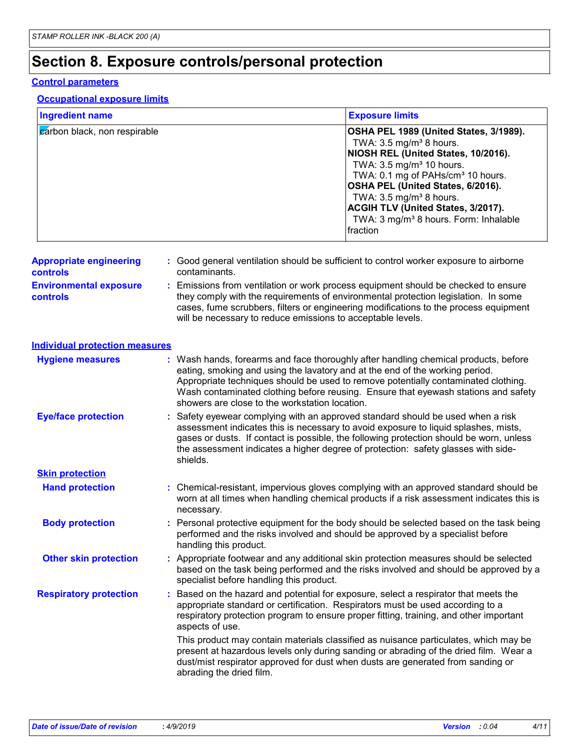# **Section 8. Exposure controls/personal protection**

#### **Control parameters**

#### **Occupational exposure limits**

| <b>Ingredient name</b>                           | <b>Exposure limits</b>                                                                                                                                                                                                                                                                                                                                                                            |
|--------------------------------------------------|---------------------------------------------------------------------------------------------------------------------------------------------------------------------------------------------------------------------------------------------------------------------------------------------------------------------------------------------------------------------------------------------------|
| carbon black, non respirable                     | OSHA PEL 1989 (United States, 3/1989).<br>TWA: $3.5 \text{ mg/m}^3$ 8 hours.<br>NIOSH REL (United States, 10/2016).<br>TWA: 3.5 mg/m <sup>3</sup> 10 hours.<br>TWA: 0.1 mg of PAHs/cm <sup>3</sup> 10 hours.<br>OSHA PEL (United States, 6/2016).<br>TWA: 3.5 mg/m <sup>3</sup> 8 hours.<br>ACGIH TLV (United States, 3/2017).<br>TWA: 3 mg/m <sup>3</sup> 8 hours. Form: Inhalable<br>Ifraction  |
| <b>Appropriate engineering</b><br>controls       | : Good general ventilation should be sufficient to control worker exposure to airborne<br>contaminants.                                                                                                                                                                                                                                                                                           |
| <b>Environmental exposure</b><br><b>controls</b> | Emissions from ventilation or work process equipment should be checked to ensure<br>they comply with the requirements of environmental protection legislation. In some<br>cases, fume scrubbers, filters or engineering modifications to the process equipment<br>will be necessary to reduce emissions to acceptable levels.                                                                     |
| <b>Individual protection measures</b>            |                                                                                                                                                                                                                                                                                                                                                                                                   |
| <b>Hygiene measures</b>                          | : Wash hands, forearms and face thoroughly after handling chemical products, before<br>eating, smoking and using the lavatory and at the end of the working period.<br>Appropriate techniques should be used to remove potentially contaminated clothing.<br>Wash contaminated clothing before reusing. Ensure that eyewash stations and safety<br>showers are close to the workstation location. |
| <b>Eye/face protection</b>                       | Safety eyewear complying with an approved standard should be used when a risk<br>assessment indicates this is necessary to avoid exposure to liquid splashes, mists,<br>gases or dusts. If contact is possible, the following protection should be worn, unless<br>the assessment indicates a higher degree of protection: safety glasses with side-<br>shields.                                  |
| <b>Skin protection</b>                           |                                                                                                                                                                                                                                                                                                                                                                                                   |
| <b>Hand protection</b>                           | Chemical-resistant, impervious gloves complying with an approved standard should be<br>worn at all times when handling chemical products if a risk assessment indicates this is<br>necessary.                                                                                                                                                                                                     |
| <b>Body protection</b>                           | : Personal protective equipment for the body should be selected based on the task being<br>performed and the risks involved and should be approved by a specialist before<br>handling this product.                                                                                                                                                                                               |
| <b>Other skin protection</b>                     | Appropriate footwear and any additional skin protection measures should be selected<br>based on the task being performed and the risks involved and should be approved by a<br>specialist before handling this product.                                                                                                                                                                           |
| <b>Respiratory protection</b>                    | Based on the hazard and potential for exposure, select a respirator that meets the<br>appropriate standard or certification. Respirators must be used according to a<br>respiratory protection program to ensure proper fitting, training, and other important<br>aspects of use.                                                                                                                 |
|                                                  | This product may contain materials classified as nuisance particulates, which may be<br>present at hazardous levels only during sanding or abrading of the dried film. Wear a<br>dust/mist respirator approved for dust when dusts are generated from sanding or<br>abrading the dried film.                                                                                                      |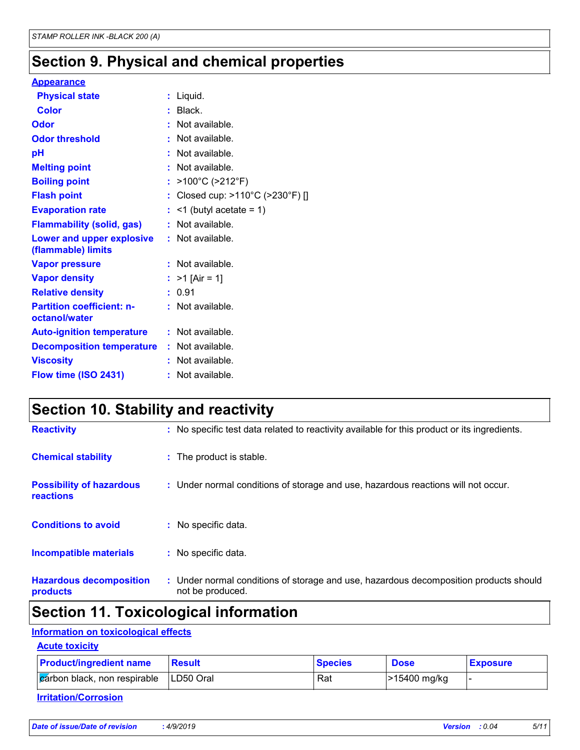# **Section 9. Physical and chemical properties**

#### **Appearance**

| <b>Physical state</b>                                  |    | : Liquid.                            |
|--------------------------------------------------------|----|--------------------------------------|
| <b>Color</b>                                           |    | Black.                               |
| Odor                                                   |    | Not available.                       |
| <b>Odor threshold</b>                                  |    | Not available.                       |
| рH                                                     |    | Not available.                       |
| <b>Melting point</b>                                   |    | Not available.                       |
| <b>Boiling point</b>                                   |    | $>100^{\circ}$ C ( $>212^{\circ}$ F) |
| <b>Flash point</b>                                     |    | Closed cup: >110°C (>230°F) []       |
| <b>Evaporation rate</b>                                | t. | $\leq$ 1 (butyl acetate = 1)         |
| <b>Flammability (solid, gas)</b>                       |    | Not available.                       |
| <b>Lower and upper explosive</b><br>(flammable) limits |    | $:$ Not available.                   |
| <b>Vapor pressure</b>                                  |    | Not available.                       |
| <b>Vapor density</b>                                   |    | : $>1$ [Air = 1]                     |
| <b>Relative density</b>                                | t. | 0.91                                 |
| <b>Partition coefficient: n-</b><br>octanol/water      |    | Not available.                       |
| <b>Auto-ignition temperature</b>                       |    | $:$ Not available.                   |
| <b>Decomposition temperature</b>                       |    | : Not available.                     |
| <b>Viscosity</b>                                       |    | Not available.                       |
| Flow time (ISO 2431)                                   |    | Not available.                       |

# **Section 10. Stability and reactivity**

| <b>Hazardous decomposition</b><br>products          | : Under normal conditions of storage and use, hazardous decomposition products should<br>not be produced. |
|-----------------------------------------------------|-----------------------------------------------------------------------------------------------------------|
| <b>Incompatible materials</b>                       | : No specific data.                                                                                       |
| <b>Conditions to avoid</b>                          | : No specific data.                                                                                       |
| <b>Possibility of hazardous</b><br><b>reactions</b> | : Under normal conditions of storage and use, hazardous reactions will not occur.                         |
| <b>Chemical stability</b>                           | : The product is stable.                                                                                  |
| <b>Reactivity</b>                                   | : No specific test data related to reactivity available for this product or its ingredients.              |

# **Section 11. Toxicological information**

#### **Information on toxicological effects**

| <b>Acute toxicity</b>                                    |               |                |              |                 |
|----------------------------------------------------------|---------------|----------------|--------------|-----------------|
| <b>Product/ingredient name</b>                           | <b>Result</b> | <b>Species</b> | <b>Dose</b>  | <b>Exposure</b> |
| $\alpha$ $\alpha$ black, non respirable $\Box$ LD50 Oral |               | Rat            | >15400 mg/kg |                 |

#### **Irritation/Corrosion**

| Date of issue/Date of revision | :4/9/2019 |
|--------------------------------|-----------|
|--------------------------------|-----------|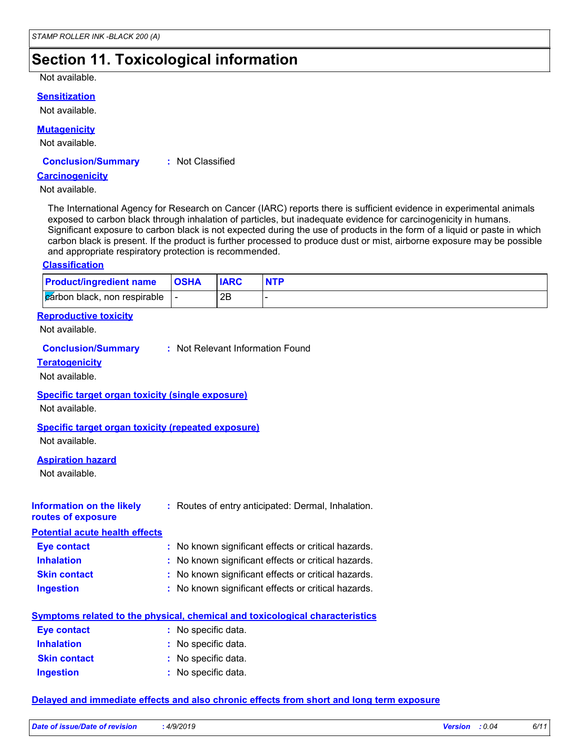# **Section 11. Toxicological information**

Not available.

#### **Sensitization**

Not available.

#### **Mutagenicity**

Not available.

#### **Conclusion/Summary :** Not Classified

#### **Carcinogenicity**

Not available.

The International Agency for Research on Cancer (IARC) reports there is sufficient evidence in experimental animals exposed to carbon black through inhalation of particles, but inadequate evidence for carcinogenicity in humans. Significant exposure to carbon black is not expected during the use of products in the form of a liquid or paste in which carbon black is present. If the product is further processed to produce dust or mist, airborne exposure may be possible and appropriate respiratory protection is recommended.

#### **Classification**

| <b>Product/ingredient name OSHA</b>    | <b>IARC</b> |  |
|----------------------------------------|-------------|--|
| $ z$ arbon black, non respirable $ z $ | 2B          |  |

#### **Reproductive toxicity**

Not available.

#### **Conclusion/Summary :** Not Relevant Information Found

#### **Teratogenicity**

Not available.

#### **Specific target organ toxicity (single exposure)**

Not available.

#### **Specific target organ toxicity (repeated exposure)**

Not available.

#### **Aspiration hazard**

Not available.

| Information on the likely<br>routes of exposure | : Routes of entry anticipated: Dermal, Inhalation.  |
|-------------------------------------------------|-----------------------------------------------------|
| <b>Potential acute health effects</b>           |                                                     |
| <b>Eye contact</b>                              | : No known significant effects or critical hazards. |
| <b>Inhalation</b>                               | : No known significant effects or critical hazards. |
| <b>Skin contact</b>                             | : No known significant effects or critical hazards. |
| <b>Ingestion</b>                                | : No known significant effects or critical hazards. |

#### **Symptoms related to the physical, chemical and toxicological characteristics**

| <b>Eye contact</b>  | : No specific data. |
|---------------------|---------------------|
| <b>Inhalation</b>   | : No specific data. |
| <b>Skin contact</b> | : No specific data. |
| <b>Ingestion</b>    | : No specific data. |

#### **Delayed and immediate effects and also chronic effects from short and long term exposure**

| Date of issue/Date of revision | 4/9/2019 | <b>Version</b> | : 0.04 $\,$ |  |
|--------------------------------|----------|----------------|-------------|--|
|                                |          |                |             |  |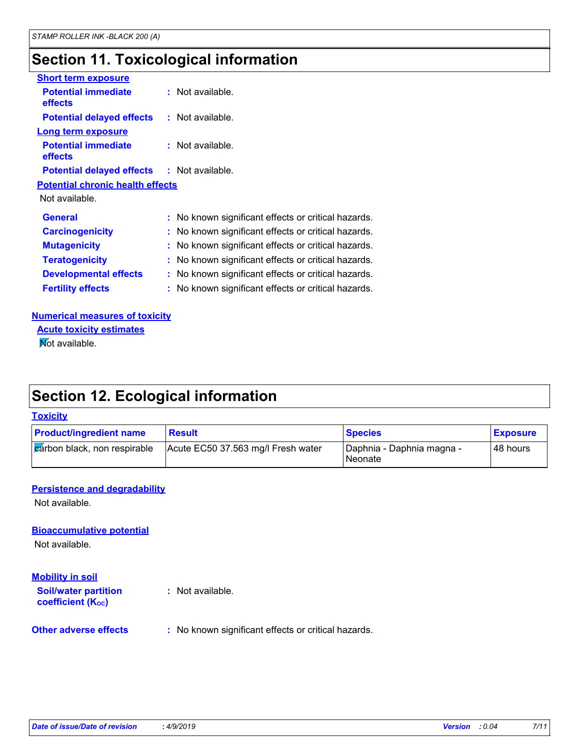# **Section 11. Toxicological information**

| <b>Short term exposure</b>                        |                                                     |
|---------------------------------------------------|-----------------------------------------------------|
| <b>Potential immediate</b><br><b>effects</b>      | $:$ Not available.                                  |
| <b>Potential delayed effects</b>                  | $:$ Not available.                                  |
| Long term exposure                                |                                                     |
| <b>Potential immediate</b><br><b>effects</b>      | $:$ Not available.                                  |
| <b>Potential delayed effects : Not available.</b> |                                                     |
| <b>Potential chronic health effects</b>           |                                                     |
| Not available.                                    |                                                     |
| <b>General</b>                                    | : No known significant effects or critical hazards. |
| <b>Carcinogenicity</b>                            | : No known significant effects or critical hazards. |
| <b>Mutagenicity</b>                               | : No known significant effects or critical hazards. |
| <b>Teratogenicity</b>                             | No known significant effects or critical hazards.   |
| <b>Developmental effects</b>                      | : No known significant effects or critical hazards. |
| <b>Fertility effects</b>                          | : No known significant effects or critical hazards. |

#### **Numerical measures of toxicity**

**Not available. Acute toxicity estimates**

# **Section 12. Ecological information**

#### **Toxicity**

| <b>Product/ingredient name</b> | <b>Result</b>                      | <b>Species</b>                       | <b>Exposure</b> |
|--------------------------------|------------------------------------|--------------------------------------|-----------------|
| carbon black, non respirable   | Acute EC50 37.563 mg/l Fresh water | Daphnia - Daphnia magna -<br>Neonate | 48 hours        |

#### **Persistence and degradability**

Not available.

**Bioaccumulative potential**

Not available.

#### **Mobility in soil**

**Soil/water partition coefficient (K**<sup>oc</sup>) **:** Not available.

#### **Other adverse effects** : No known significant effects or critical hazards.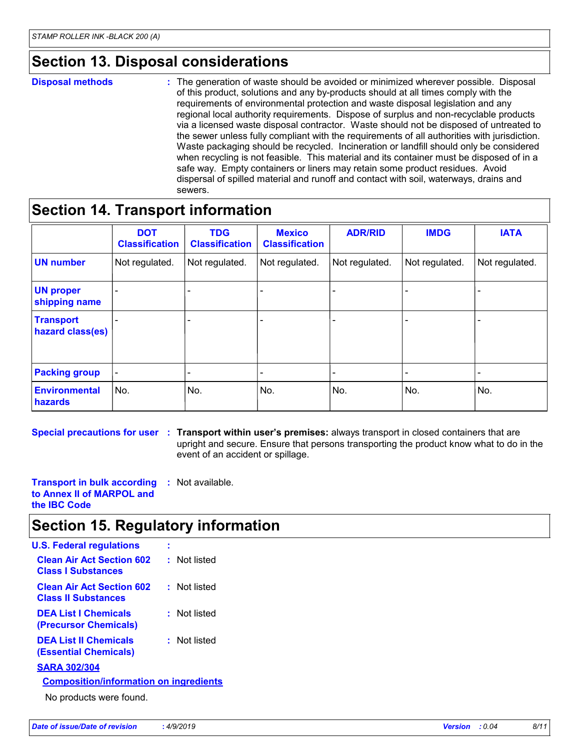### **Section 13. Disposal considerations**

#### **Disposal methods :**

The generation of waste should be avoided or minimized wherever possible. Disposal of this product, solutions and any by-products should at all times comply with the requirements of environmental protection and waste disposal legislation and any regional local authority requirements. Dispose of surplus and non-recyclable products via a licensed waste disposal contractor. Waste should not be disposed of untreated to the sewer unless fully compliant with the requirements of all authorities with jurisdiction. Waste packaging should be recycled. Incineration or landfill should only be considered when recycling is not feasible. This material and its container must be disposed of in a safe way. Empty containers or liners may retain some product residues. Avoid dispersal of spilled material and runoff and contact with soil, waterways, drains and sewers.

### **Section 14. Transport information**

|                                      | <b>DOT</b><br><b>Classification</b> | <b>TDG</b><br><b>Classification</b> | <b>Mexico</b><br><b>Classification</b> | <b>ADR/RID</b> | <b>IMDG</b>              | <b>IATA</b>    |
|--------------------------------------|-------------------------------------|-------------------------------------|----------------------------------------|----------------|--------------------------|----------------|
| <b>UN number</b>                     | Not regulated.                      | Not regulated.                      | Not regulated.                         | Not regulated. | Not regulated.           | Not regulated. |
| <b>UN proper</b><br>shipping name    |                                     |                                     |                                        |                |                          |                |
| <b>Transport</b><br>hazard class(es) |                                     |                                     |                                        |                |                          |                |
| <b>Packing group</b>                 | $\overline{\phantom{a}}$            |                                     |                                        |                | $\overline{\phantom{a}}$ | -              |
| <b>Environmental</b><br>hazards      | No.                                 | No.                                 | No.                                    | No.            | No.                      | No.            |

**Special precautions for user Transport within user's premises:** always transport in closed containers that are **:** upright and secure. Ensure that persons transporting the product know what to do in the

event of an accident or spillage.

**Transport in bulk according :** Not available. **to Annex II of MARPOL and the IBC Code**

### **Section 15. Regulatory information**

| <b>U.S. Federal regulations</b>                                |              |  |  |  |  |
|----------------------------------------------------------------|--------------|--|--|--|--|
| <b>Clean Air Act Section 602</b><br><b>Class I Substances</b>  | : Not listed |  |  |  |  |
| <b>Clean Air Act Section 602</b><br><b>Class II Substances</b> | : Not listed |  |  |  |  |
| <b>DEA List I Chemicals</b><br>(Precursor Chemicals)           | : Not listed |  |  |  |  |
| <b>DEA List II Chemicals</b><br>(Essential Chemicals)          | : Not listed |  |  |  |  |
| <b>SARA 302/304</b>                                            |              |  |  |  |  |
| <b>Composition/information on ingredients</b>                  |              |  |  |  |  |
|                                                                |              |  |  |  |  |

No products were found.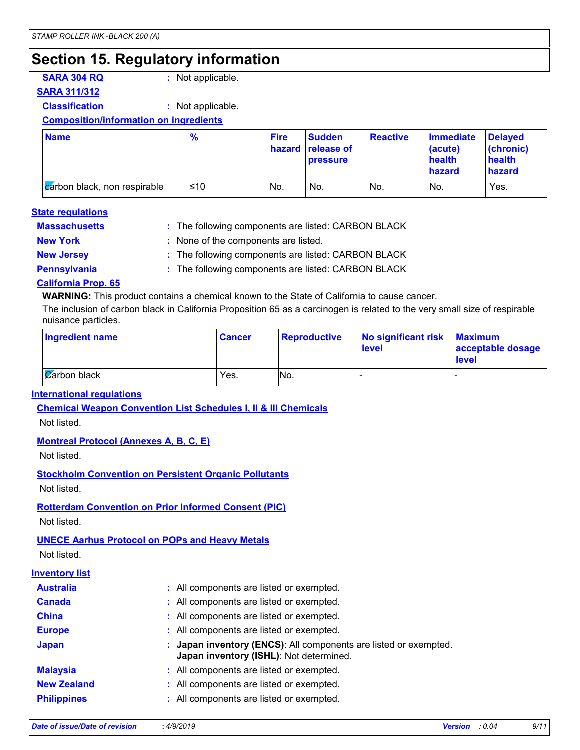# **Section 15. Regulatory information**

**SARA 304 RQ :** Not applicable.

#### **SARA 311/312**

**Classification :** Not applicable.

**Composition/information on ingredients**

| <b>Name</b>                          | $\frac{9}{6}$ | <b>Fire</b> | Sudden<br>hazard release of<br><b>pressure</b> | Reactive | <b>Immediate</b><br>(acute)<br>health<br>hazard | <b>Delaved</b><br>$ $ (chronic)<br>health<br>hazard |
|--------------------------------------|---------------|-------------|------------------------------------------------|----------|-------------------------------------------------|-----------------------------------------------------|
| <b>c</b> arbon black, non respirable | ≤10           | No.         | No.                                            | INo.     | No.                                             | Yes.                                                |

#### **State regulations**

| <b>Massachusetts</b> | : The following components are listed: CARBON BLACK |
|----------------------|-----------------------------------------------------|
| <b>New York</b>      | : None of the components are listed.                |
| <b>New Jersey</b>    | : The following components are listed: CARBON BLACK |
| <b>Pennsylvania</b>  | : The following components are listed: CARBON BLACK |

#### **California Prop. 65**

**WARNING:** This product contains a chemical known to the State of California to cause cancer.

The inclusion of carbon black in California Proposition 65 as a carcinogen is related to the very small size of respirable nuisance particles.

| <b>Ingredient name</b> | <b>Cancer</b> | <b>Reproductive</b> | No significant risk<br><b>level</b> | <b>Maximum</b><br>acceptable dosage<br><b>level</b> |
|------------------------|---------------|---------------------|-------------------------------------|-----------------------------------------------------|
| $\alpha$ arbon black   | Yes.          | No.                 |                                     |                                                     |

#### **International regulations**

**Chemical Weapon Convention List Schedules I, II & III Chemicals**

Not listed.

#### **Montreal Protocol (Annexes A, B, C, E)**

Not listed.

**Stockholm Convention on Persistent Organic Pollutants**

Not listed.

**Rotterdam Convention on Prior Informed Consent (PIC)**

Not listed.

#### **UNECE Aarhus Protocol on POPs and Heavy Metals**

Not listed.

#### **Inventory list**

| <b>Australia</b>   | : All components are listed or exempted.                                                                    |
|--------------------|-------------------------------------------------------------------------------------------------------------|
| <b>Canada</b>      | : All components are listed or exempted.                                                                    |
| <b>China</b>       | : All components are listed or exempted.                                                                    |
| <b>Europe</b>      | : All components are listed or exempted.                                                                    |
| Japan              | : Japan inventory (ENCS): All components are listed or exempted.<br>Japan inventory (ISHL): Not determined. |
| <b>Malaysia</b>    | : All components are listed or exempted.                                                                    |
| <b>New Zealand</b> | : All components are listed or exempted.                                                                    |
| <b>Philippines</b> | : All components are listed or exempted.                                                                    |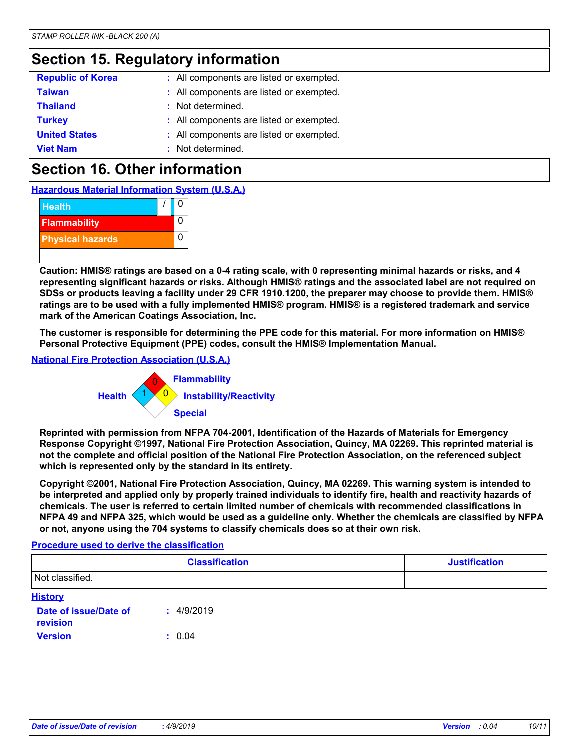### **Section 15. Regulatory information**

| <b>Republic of Korea</b> | : All components are listed or exempted. |
|--------------------------|------------------------------------------|
| <b>Taiwan</b>            | : All components are listed or exempted. |
| <b>Thailand</b>          | : Not determined.                        |
| <b>Turkey</b>            | : All components are listed or exempted. |
| <b>United States</b>     | : All components are listed or exempted. |
| <b>Viet Nam</b>          | : Not determined.                        |

# **Section 16. Other information**

**Hazardous Material Information System (U.S.A.)**



**Caution: HMIS® ratings are based on a 0-4 rating scale, with 0 representing minimal hazards or risks, and 4 representing significant hazards or risks. Although HMIS® ratings and the associated label are not required on SDSs or products leaving a facility under 29 CFR 1910.1200, the preparer may choose to provide them. HMIS® ratings are to be used with a fully implemented HMIS® program. HMIS® is a registered trademark and service mark of the American Coatings Association, Inc.**

**The customer is responsible for determining the PPE code for this material. For more information on HMIS® Personal Protective Equipment (PPE) codes, consult the HMIS® Implementation Manual.**

#### **National Fire Protection Association (U.S.A.)**



**Reprinted with permission from NFPA 704-2001, Identification of the Hazards of Materials for Emergency Response Copyright ©1997, National Fire Protection Association, Quincy, MA 02269. This reprinted material is not the complete and official position of the National Fire Protection Association, on the referenced subject which is represented only by the standard in its entirety.**

**Copyright ©2001, National Fire Protection Association, Quincy, MA 02269. This warning system is intended to be interpreted and applied only by properly trained individuals to identify fire, health and reactivity hazards of chemicals. The user is referred to certain limited number of chemicals with recommended classifications in NFPA 49 and NFPA 325, which would be used as a guideline only. Whether the chemicals are classified by NFPA or not, anyone using the 704 systems to classify chemicals does so at their own risk.**

#### **Procedure used to derive the classification**

|                                   | <b>Justification</b> |  |
|-----------------------------------|----------------------|--|
| Not classified.                   |                      |  |
| <b>History</b>                    |                      |  |
| Date of issue/Date of<br>revision | 4/9/2019<br>٠.       |  |
| <b>Version</b>                    | : 0.04               |  |